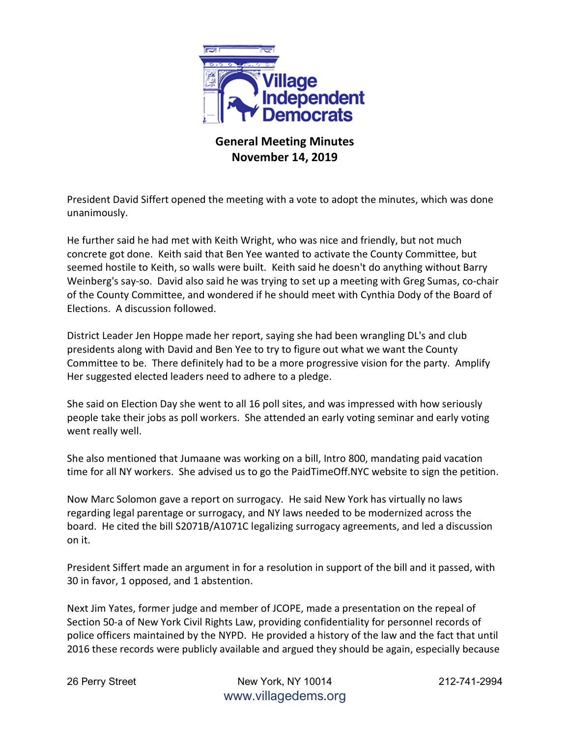

## **General Meeting Minutes November 14, 2019**

President David Siffert opened the meeting with a vote to adopt the minutes, which was done unanimously.

He further said he had met with Keith Wright, who was nice and friendly, but not much concrete got done. Keith said that Ben Yee wanted to activate the County Committee, but seemed hostile to Keith, so walls were built. Keith said he doesn't do anything without Barry Weinberg's say-so. David also said he was trying to set up a meeting with Greg Sumas, co-chair of the County Committee, and wondered if he should meet with Cynthia Dody of the Board of Elections. A discussion followed.

District Leader Jen Hoppe made her report, saying she had been wrangling DL's and club presidents along with David and Ben Yee to try to figure out what we want the County Committee to be. There definitely had to be a more progressive vision for the party. Amplify Her suggested elected leaders need to adhere to a pledge.

She said on Election Day she went to all 16 poll sites, and was impressed with how seriously people take their jobs as poll workers. She attended an early voting seminar and early voting went really well.

She also mentioned that Jumaane was working on a bill, Intro 800, mandating paid vacation time for all NY workers. She advised us to go the PaidTimeOff.NYC website to sign the petition.

Now Marc Solomon gave a report on surrogacy. He said New York has virtually no laws regarding legal parentage or surrogacy, and NY laws needed to be modernized across the board. He cited the bill S2071B/A1071C legalizing surrogacy agreements, and led a discussion on it.

President Siffert made an argument in for a resolution in support of the bill and it passed, with 30 in favor, 1 opposed, and 1 abstention.

Next Jim Yates, former judge and member of JCOPE, made a presentation on the repeal of Section 50-a of New York Civil Rights Law, providing confidentiality for personnel records of police officers maintained by the NYPD. He provided a history of the law and the fact that until 2016 these records were publicly available and argued they should be again, especially because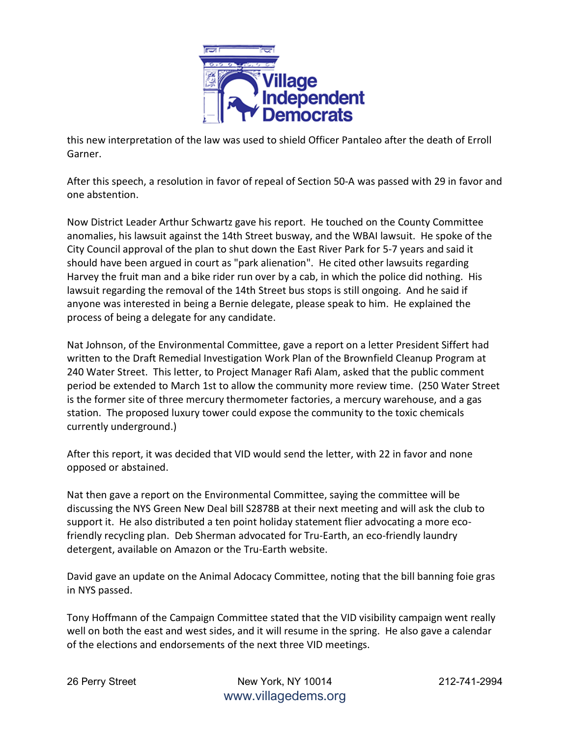

this new interpretation of the law was used to shield Officer Pantaleo after the death of Erroll Garner.

After this speech, a resolution in favor of repeal of Section 50-A was passed with 29 in favor and one abstention.

Now District Leader Arthur Schwartz gave his report. He touched on the County Committee anomalies, his lawsuit against the 14th Street busway, and the WBAI lawsuit. He spoke of the City Council approval of the plan to shut down the East River Park for 5-7 years and said it should have been argued in court as "park alienation". He cited other lawsuits regarding Harvey the fruit man and a bike rider run over by a cab, in which the police did nothing. His lawsuit regarding the removal of the 14th Street bus stops is still ongoing. And he said if anyone was interested in being a Bernie delegate, please speak to him. He explained the process of being a delegate for any candidate.

Nat Johnson, of the Environmental Committee, gave a report on a letter President Siffert had written to the Draft Remedial Investigation Work Plan of the Brownfield Cleanup Program at 240 Water Street. This letter, to Project Manager Rafi Alam, asked that the public comment period be extended to March 1st to allow the community more review time. (250 Water Street is the former site of three mercury thermometer factories, a mercury warehouse, and a gas station. The proposed luxury tower could expose the community to the toxic chemicals currently underground.)

After this report, it was decided that VID would send the letter, with 22 in favor and none opposed or abstained.

Nat then gave a report on the Environmental Committee, saying the committee will be discussing the NYS Green New Deal bill S2878B at their next meeting and will ask the club to support it. He also distributed a ten point holiday statement flier advocating a more ecofriendly recycling plan. Deb Sherman advocated for Tru-Earth, an eco-friendly laundry detergent, available on Amazon or the Tru-Earth website.

David gave an update on the Animal Adocacy Committee, noting that the bill banning foie gras in NYS passed.

Tony Hoffmann of the Campaign Committee stated that the VID visibility campaign went really well on both the east and west sides, and it will resume in the spring. He also gave a calendar of the elections and endorsements of the next three VID meetings.